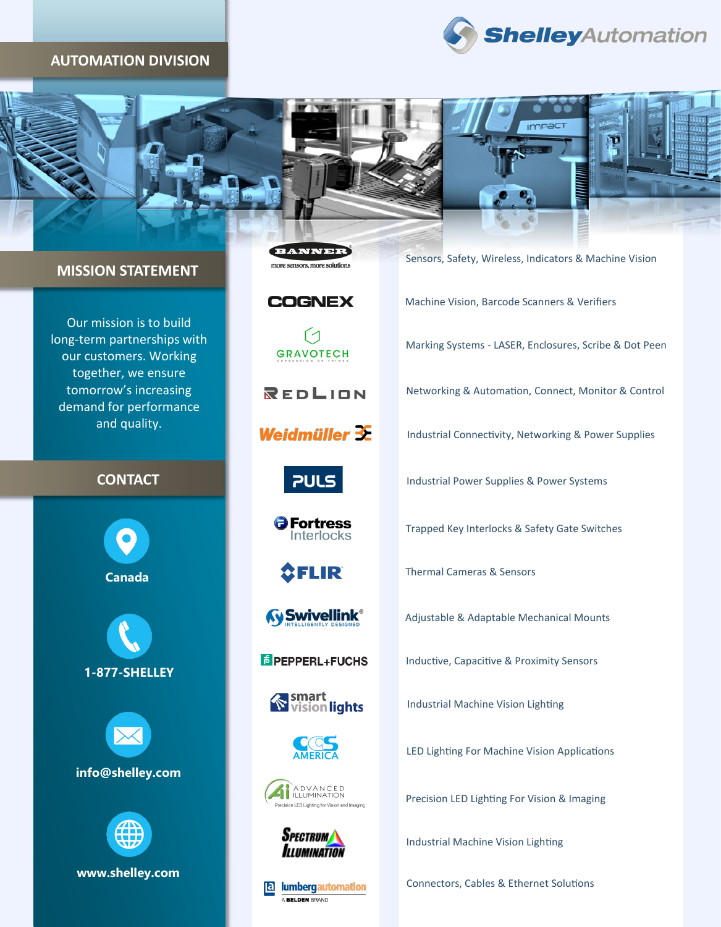#### **AUTOMATION DIVISION**





### **MISSION STATEMENT**

Our mission is to build long-term partnerships with our customers. Working together, we ensure tomorrow's increasing demand for performance and quality.

## **CONTACT**

**Canada**

**1-877-SHELLEY**



**info@shelley.com**



**www.shelley.com**

**BANNER** more sensors, more solutions

# **COGNEX**

〔1 **GRAVOTECH** 

REDLION

Weidmüller 3E

# **PULS**

**O** Fortress **Interlocks** 



**Swivellink®** 

**E** PEPPERL+FUCHS









**E** lumbergautomation A BELDEN BRAND

| Sensors, Safety, Wireless, Indicators & Machine Vision |
|--------------------------------------------------------|
| Machine Vision, Barcode Scanners & Verifiers           |
| Marking Systems - LASER, Enclosures, Scribe & Dot Peen |
| Networking & Automation, Connect, Monitor & Control    |
| Industrial Connectivity, Networking & Power Supplies   |
| Industrial Power Supplies & Power Systems              |
| Trapped Key Interlocks & Safety Gate Switches          |
| <b>Thermal Cameras &amp; Sensors</b>                   |
| Adjustable & Adaptable Mechanical Mounts               |

Inductive, Capacitive & Proximity Sensors

Industrial Machine Vision Lighting

LED Lighting For Machine Vision Applications

Precision LED Lighting For Vision & Imaging

Industrial Machine Vision Lighting

Connectors, Cables & Ethernet Solutions